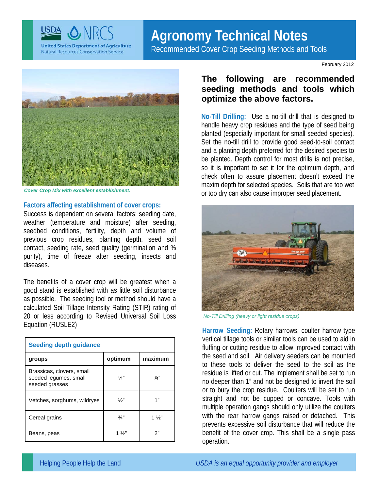

# **Agronomy Technical Notes**

Recommended Cover Crop Seeding Methods and Tools

February 2012



*Cover Crop Mix with excellent establishment.* 

#### **Factors affecting establishment of cover crops:**

Success is dependent on several factors: seeding date, weather (temperature and moisture) after seeding, seedbed conditions, fertility, depth and volume of previous crop residues, planting depth, seed soil contact, seeding rate, seed quality (germination and % purity), time of freeze after seeding, insects and diseases.

The benefits of a cover crop will be greatest when a good stand is established with as little soil disturbance as possible. The seeding tool or method should have a calculated Soil Tillage Intensity Rating (STIR) rating of 20 or less according to Revised Universal Soil Loss Equation (RUSLE2)

| <b>Seeding depth guidance</b>                                        |               |                |
|----------------------------------------------------------------------|---------------|----------------|
| groups                                                               | optimum       | maximum        |
| Brassicas, clovers, small<br>seeded legumes, small<br>seeded grasses | $\frac{1}{4}$ | $\frac{3}{4}$  |
| Vetches, sorghums, wildryes                                          | $\frac{1}{2}$ | 1"             |
| Cereal grains                                                        | $\frac{3}{4}$ | $1\frac{1}{2}$ |
| Beans, peas                                                          | 1 %"          | ን"             |

### **The following are recommended seeding methods and tools which optimize the above factors.**

**No-Till Drilling:** Use a no-till drill that is designed to handle heavy crop residues and the type of seed being planted (especially important for small seeded species). Set the no-till drill to provide good seed-to-soil contact and a planting depth preferred for the desired species to be planted. Depth control for most drills is not precise, so it is important to set it for the optimum depth, and check often to assure placement doesn't exceed the maxim depth for selected species. Soils that are too wet or too dry can also cause improper seed placement.



*No-Till Drilling (heavy or light residue crops)* 

**Harrow Seeding:** Rotary harrows, coulter harrow type vertical tillage tools or similar tools can be used to aid in fluffing or cutting residue to allow improved contact with the seed and soil. Air delivery seeders can be mounted to these tools to deliver the seed to the soil as the residue is lifted or cut. The implement shall be set to run no deeper than 1" and not be designed to invert the soil or to bury the crop residue. Coulters will be set to run straight and not be cupped or concave. Tools with multiple operation gangs should only utilize the coulters with the rear harrow gangs raised or detached. This prevents excessive soil disturbance that will reduce the benefit of the cover crop. This shall be a single pass operation.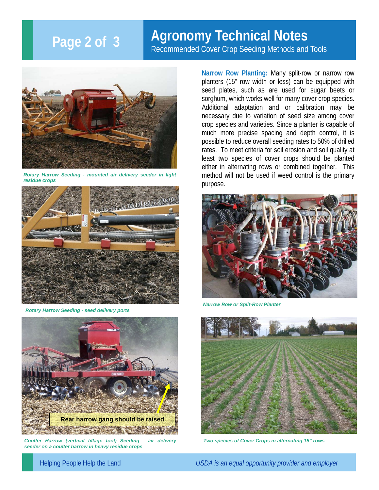## **Page 2 of 3**

## **Agronomy Technical Notes**

Recommended Cover Crop Seeding Methods and Tools



*Rotary Harrow Seeding - mounted air delivery seeder in light residue crops* 



*Rotary Harrow Seeding - seed delivery ports* 



*Coulter Harrow (vertical tillage tool) Seeding - air delivery seeder on a coulter harrow in heavy residue crops* 

**Narrow Row Planting:** Many split-row or narrow row planters (15" row width or less) can be equipped with seed plates, such as are used for sugar beets or sorghum, which works well for many cover crop species. Additional adaptation and or calibration may be necessary due to variation of seed size among cover crop species and varieties. Since a planter is capable of much more precise spacing and depth control, it is possible to reduce overall seeding rates to 50% of drilled rates. To meet criteria for soil erosion and soil quality at least two species of cover crops should be planted either in alternating rows or combined together. This method will not be used if weed control is the primary purpose.



*Narrow Row or Split-Row Planter* 



*Two species of Cover Crops in alternating 15" rows* 

Helping People Help the Land *USDA is an equal opportunity provider and employer*